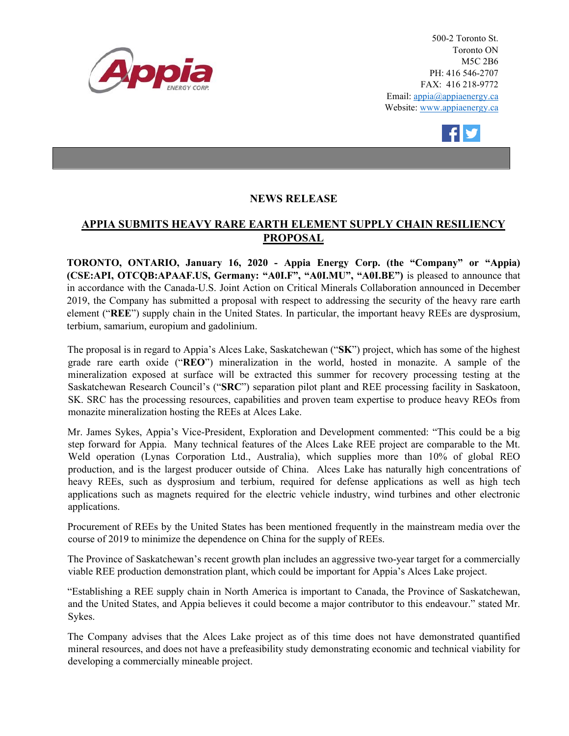

500-2 Toronto St. Toronto ON M5C 2B6 PH: 416 546-2707 FAX: 416 218-9772 Email: appia@appiaenergy.ca Website: www.appiaenergy.ca



## **NEWS RELEASE**

## **APPIA SUBMITS HEAVY RARE EARTH ELEMENT SUPPLY CHAIN RESILIENCY PROPOSAL**

**TORONTO, ONTARIO, January 16, 2020 - Appia Energy Corp. (the "Company" or "Appia) (CSE:API, OTCQB:APAAF.US, Germany: "A0I.F", "A0I.MU", "A0I.BE")** is pleased to announce that in accordance with the Canada-U.S. Joint Action on Critical Minerals Collaboration announced in December 2019, the Company has submitted a proposal with respect to addressing the security of the heavy rare earth element ("**REE**") supply chain in the United States. In particular, the important heavy REEs are dysprosium, terbium, samarium, europium and gadolinium.

The proposal is in regard to Appia's Alces Lake, Saskatchewan ("**SK**") project, which has some of the highest grade rare earth oxide ("**REO**") mineralization in the world, hosted in monazite. A sample of the mineralization exposed at surface will be extracted this summer for recovery processing testing at the Saskatchewan Research Council's ("**SRC**") separation pilot plant and REE processing facility in Saskatoon, SK. SRC has the processing resources, capabilities and proven team expertise to produce heavy REOs from monazite mineralization hosting the REEs at Alces Lake.

Mr. James Sykes, Appia's Vice-President, Exploration and Development commented: "This could be a big step forward for Appia. Many technical features of the Alces Lake REE project are comparable to the Mt. Weld operation (Lynas Corporation Ltd., Australia), which supplies more than 10% of global REO production, and is the largest producer outside of China. Alces Lake has naturally high concentrations of heavy REEs, such as dysprosium and terbium, required for defense applications as well as high tech applications such as magnets required for the electric vehicle industry, wind turbines and other electronic applications.

[Procurement of REEs by the United States h](https://www.nationalobserver.com/2019/12/04/news/trudeau-government-exploring-mining-crucial-minerals-us-market)as been mentioned frequently in the mainstream media over the course of 2019 to minimize the dependence on China for the supply of REEs.

The Province of Saskatchewan's recent growth plan includes an aggressive two-year target for a commercially viable REE production demonstration plant, which could be important for Appia's Alces Lake project.

"Establishing a REE supply chain in North America is important to Canada, the Province of Saskatchewan, and the United States, and Appia believes it could become a major contributor to this endeavour." stated Mr. Sykes.

The Company advises that the Alces Lake project as of this time does not have demonstrated quantified mineral resources, and does not have a prefeasibility study demonstrating economic and technical viability for developing a commercially mineable project.